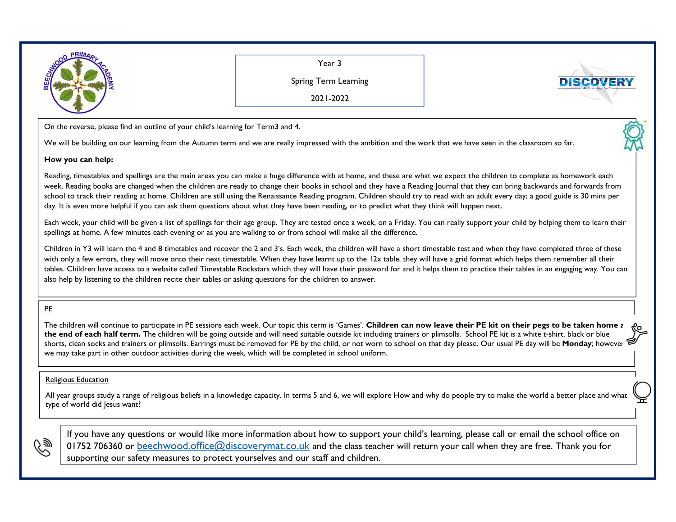

Year 3

Spring Term Learning

2021-2022

On the reverse, please find an outline of your child's learning for Term3 and 4.

We will be building on our learning from the Autumn term and we are really impressed with the ambition and the work that we have seen in the classroom so far.

## **How you can help:**

Reading, timestables and spellings are the main areas you can make a huge difference with at home, and these are what we expect the children to complete as homework each week. Reading books are changed when the children are ready to change their books in school and they have a Reading Journal that they can bring backwards and forwards from school to track their reading at home. Children are still using the Renaissance Reading program. Children should try to read with an adult every day; a good guide is 30 mins per day. It is even more helpful if you can ask them questions about what they have been reading, or to predict what they think will happen next.

Each week, your child will be given a list of spellings for their age group. They are tested once a week, on a Friday. You can really support your child by helping them to learn their spellings at home. A few minutes each evening or as you are walking to or from school will make all the difference.

Children in Y3 will learn the 4 and 8 timetables and recover the 2 and 3's. Each week, the children will have a short timestable test and when they have completed three of these with only a few errors, they will move onto their next timestable. When they have learnt up to the 12x table, they will have a grid format which helps them remember all their tables. Children have access to a website called Timestable Rockstars which they will have their password for and it helps them to practice their tables in an engaging way. You can also help by listening to the children recite their tables or asking questions for the children to answer.

## PE

The children will continue to participate in PE sessions each week. Our topic this term is 'Games'. Children can now leave their PE kit on their pegs to be taken home a the end of each half term. The children will be going outside and will need suitable outside kit including trainers or plimsolls. School PE kit is a white t-shirt, black or blue shorts, clean socks and trainers or plimsolls. Earrings must be removed for PE by the child, or not worn to school on that day please. Our usual PE day will be **Monday**; however, we may take part in other outdoor activities during the week, which will be completed in school uniform.

## Religious Education

All year groups study a range of religious beliefs in a knowledge capacity. In terms 5 and 6, we will explore How and why do people try to make the world a better place and what type of world did Jesus want?



If you have any questions or would like more information about how to support your child's learning, please call or email the school office on 01752 706360 or <u>beechwood.office@discoverymat.co.uk</u> and the class teacher will return your call when they are free. Thank you for supporting our safety measures to protect yourselves and our staff and children.